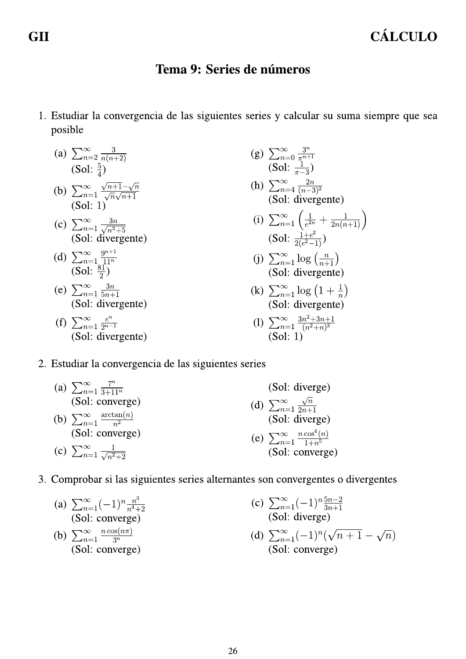## Tema 9: Series de números

1. Estudiar la convergencia de las siguientes series y calcular su suma siempre que sea posible

(a) 
$$
\sum_{n=2}^{\infty} \frac{3}{n(n+2)}
$$
  
(Sol:  $\frac{5}{4}$ )  
(b) 
$$
\sum_{n=1}^{\infty} \frac{\sqrt{n+1}-\sqrt{n}}{\sqrt{n}\sqrt{n+1}}
$$
  
(Sol: 1)

(c) 
$$
\sum_{n=1}^{\infty} \frac{3n}{\sqrt{n^3+5}}
$$
  
(Sol: divergence)

- (d)  $\sum_{n=1}^{\infty} \frac{9^{n+1}}{11^n}$ <br>(Sol:  $\frac{81}{2}$ )
- (e)  $\sum_{n=1}^{\infty} \frac{3n}{5n+1}$ <br>(Sol: divergente)
- (f)  $\sum_{n=1}^{\infty} \frac{e^n}{2^{n-1}}$ (Sol: divergente)

(g) 
$$
\sum_{n=0}^{\infty} \frac{3^n}{\pi^{n+1}}
$$
  
\n(Sol:  $\frac{1}{\pi - 3}$ )  
\n(h) 
$$
\sum_{n=4}^{\infty} \frac{2n}{(n-3)^2}
$$
  
\n(Sol: divergence)  
\n(i) 
$$
\sum_{n=1}^{\infty} \left(\frac{1}{e^{2n}} + \frac{1}{2n(n+1)}\right)
$$
  
\n(Sol:  $\frac{1+e^2}{2(e^2-1)}$ )  
\n(j) 
$$
\sum_{n=1}^{\infty} \log \left(\frac{n}{n+1}\right)
$$
  
\n(Sol: divergence)

(k)  $\sum_{n=1}^{\infty} \log (1 + \frac{1}{n})$ <br>(Sol: divergente)

$$
(1) \sum_{n=1}^{\infty} \frac{3n^2 + 3n + 1}{(n^2 + n)^3}
$$
  
(Sol: 1)

2. Estudiar la convergencia de las siguientes series

(a) 
$$
\sum_{n=1}^{\infty} \frac{7^n}{3+11^n}
$$
 (Sol: diverge)  
\n(Sol: converge)  
\n(b)  $\sum_{n=1}^{\infty} \frac{\arctan(n)}{n^2}$  (Sol: diverge)  
\n(Sol: converge)  
\n(c)  $\sum_{n=1}^{\infty} \frac{1}{\sqrt{n^2+2}}$  (Sol: converge)  
\n(d)  $\sum_{n=1}^{\infty} \frac{\sqrt{n}}{2n+1}$   
\n(Sol: diverge)  
\n(e)  $\sum_{n=1}^{\infty} \frac{n \cos^4(n)}{1+n^5}$   
\n(Sol: converge)

3. Comprobar si las siguientes series alternantes son convergentes o divergentes

(a) 
$$
\sum_{n=1}^{\infty} (-1)^n \frac{n^3}{n^4+2}
$$
  
\n(Sol: converge)  
\n(b) 
$$
\sum_{n=1}^{\infty} \frac{n \cos(n\pi)}{3^n}
$$
  
\n(Sol: converge)  
\n(c) 
$$
\sum_{n=1}^{\infty} (-1)^n \frac{5n-2}{3n+1}
$$
  
\n(Sol: diverge)  
\n(d) 
$$
\sum_{n=1}^{\infty} (-1)^n (\sqrt{n+1} - \sqrt{n})
$$
  
\n(Sol: converge)  
\n(Sol: converge)

**GII**